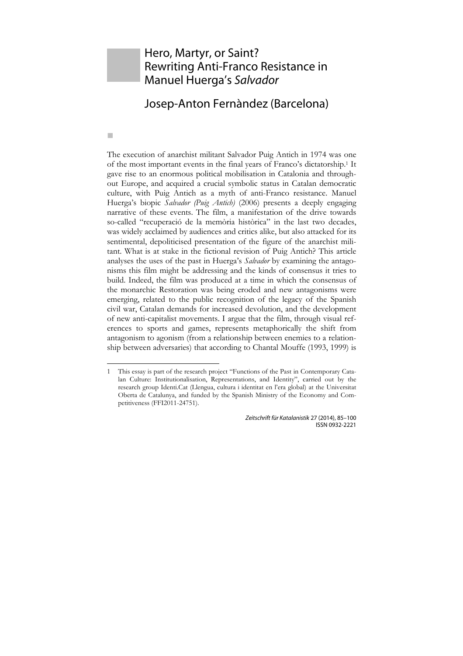## Hero, Martyr, or Saint? Rewriting Anti-Franco Resistance in Manuel Huerga's *Salvador*

## Josep-Anton Fernàndez (Barcelona)

m.

1

The execution of anarchist militant Salvador Puig Antich in 1974 was one of the most important events in the final years of Franco's dictatorship.1 It gave rise to an enormous political mobilisation in Catalonia and throughout Europe, and acquired a crucial symbolic status in Catalan democratic culture, with Puig Antich as a myth of anti-Franco resistance. Manuel Huerga's biopic *Salvador (Puig Antich)* (2006) presents a deeply engaging narrative of these events. The film, a manifestation of the drive towards so-called "recuperació de la memòria històrica" in the last two decades, was widely acclaimed by audiences and critics alike, but also attacked for its sentimental, depoliticised presentation of the figure of the anarchist militant. What is at stake in the fictional revision of Puig Antich? This article analyses the uses of the past in Huerga's *Salvador* by examining the antagonisms this film might be addressing and the kinds of consensus it tries to build. Indeed, the film was produced at a time in which the consensus of the monarchic Restoration was being eroded and new antagonisms were emerging, related to the public recognition of the legacy of the Spanish civil war, Catalan demands for increased devolution, and the development of new anti-capitalist movements. I argue that the film, through visual references to sports and games, represents metaphorically the shift from antagonism to agonism (from a relationship between enemies to a relationship between adversaries) that according to Chantal Mouffe (1993, 1999) is

<sup>1</sup> This essay is part of the research project "Functions of the Past in Contemporary Catalan Culture: Institutionalisation, Representations, and Identity", carried out by the research group Identi.Cat (Llengua, cultura i identitat en l'era global) at the Universitat Oberta de Catalunya, and funded by the Spanish Ministry of the Economy and Competitiveness (FFI2011-24751).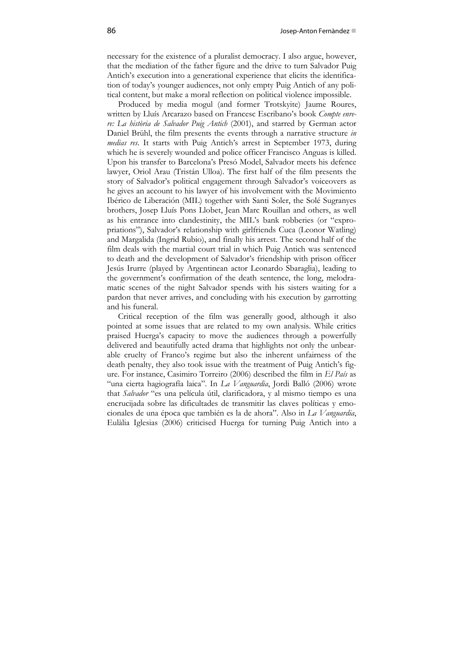necessary for the existence of a pluralist democracy. I also argue, however, that the mediation of the father figure and the drive to turn Salvador Puig Antich's execution into a generational experience that elicits the identification of today's younger audiences, not only empty Puig Antich of any political content, but make a moral reflection on political violence impossible.

Produced by media mogul (and former Trotskyite) Jaume Roures, written by Lluís Arcarazo based on Francesc Escribano's book *Compte enrere: La història de Salvador Puig Antich* (2001), and starred by German actor Daniel Brühl, the film presents the events through a narrative structure *in medias res*. It starts with Puig Antich's arrest in September 1973, during which he is severely wounded and police officer Francisco Anguas is killed. Upon his transfer to Barcelona's Presó Model, Salvador meets his defence lawyer, Oriol Arau (Tristán Ulloa). The first half of the film presents the story of Salvador's political engagement through Salvador's voiceovers as he gives an account to his lawyer of his involvement with the Movimiento Ibérico de Liberación (MIL) together with Santi Soler, the Solé Sugranyes brothers, Josep Lluís Pons Llobet, Jean Marc Rouillan and others, as well as his entrance into clandestinity, the MIL's bank robberies (or "expropriations"), Salvador's relationship with girlfriends Cuca (Leonor Watling) and Margalida (Ingrid Rubio), and finally his arrest. The second half of the film deals with the martial court trial in which Puig Antich was sentenced to death and the development of Salvador's friendship with prison officer Jesús Irurre (played by Argentinean actor Leonardo Sbaraglia), leading to the government's confirmation of the death sentence, the long, melodramatic scenes of the night Salvador spends with his sisters waiting for a pardon that never arrives, and concluding with his execution by garrotting and his funeral.

Critical reception of the film was generally good, although it also pointed at some issues that are related to my own analysis. While critics praised Huerga's capacity to move the audiences through a powerfully delivered and beautifully acted drama that highlights not only the unbearable cruelty of Franco's regime but also the inherent unfairness of the death penalty, they also took issue with the treatment of Puig Antich's figure. For instance, Casimiro Torreiro (2006) described the film in *El País* as "una cierta hagiografía laica". In *La Vanguardia*, Jordi Balló (2006) wrote that *Salvador* "es una película útil, clarificadora, y al mismo tiempo es una encrucijada sobre las dificultades de transmitir las claves políticas y emocionales de una época que también es la de ahora". Also in *La Vanguardia*, Eulàlia Iglesias (2006) criticised Huerga for turning Puig Antich into a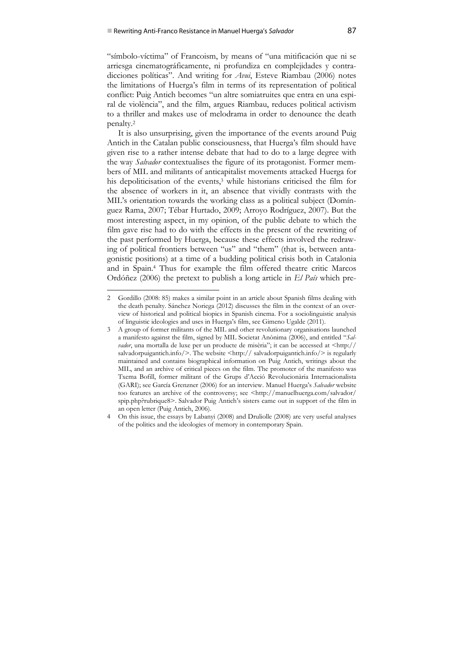"símbolo-víctima" of Francoism, by means of "una mitificación que ni se arriesga cinematográficamente, ni profundiza en complejidades y contradicciones políticas". And writing for *Avui*, Esteve Riambau (2006) notes the limitations of Huerga's film in terms of its representation of political conflict: Puig Antich becomes "un altre somiatruites que entra en una espiral de violència", and the film, argues Riambau, reduces political activism to a thriller and makes use of melodrama in order to denounce the death penalty.2

It is also unsurprising, given the importance of the events around Puig Antich in the Catalan public consciousness, that Huerga's film should have given rise to a rather intense debate that had to do to a large degree with the way *Salvador* contextualises the figure of its protagonist. Former members of MIL and militants of anticapitalist movements attacked Huerga for his depoliticisation of the events,<sup>3</sup> while historians criticised the film for the absence of workers in it, an absence that vividly contrasts with the MIL's orientation towards the working class as a political subject (Domínguez Rama, 2007; Tébar Hurtado, 2009; Arroyo Rodríguez, 2007). But the most interesting aspect, in my opinion, of the public debate to which the film gave rise had to do with the effects in the present of the rewriting of the past performed by Huerga, because these effects involved the redrawing of political frontiers between "us" and "them" (that is, between antagonistic positions) at a time of a budding political crisis both in Catalonia and in Spain.4 Thus for example the film offered theatre critic Marcos Ordóñez (2006) the pretext to publish a long article in *El País* which pre-

1

<sup>2</sup> Gordillo (2008: 85) makes a similar point in an article about Spanish films dealing with the death penalty. Sánchez Noriega (2012) discusses the film in the context of an overview of historical and political biopics in Spanish cinema. For a sociolinguistic analysis of linguistic ideologies and uses in Huerga's film, see Gimeno Ugalde (2011).

<sup>3</sup> A group of former militants of the MIL and other revolutionary organisations launched a manifesto against the film, signed by MIL Societat Anònima (2006), and entitled "*Salvador*, una mortalla de luxe per un producte de misèria"; it can be accessed at <http:// salvadorpuigantich.info/>. The website  $\langle \text{http://salvadorpuigantich.info/> is regularly}$ maintained and contains biographical information on Puig Antich, writings about the MIL, and an archive of critical pieces on the film. The promoter of the manifesto was Txema Bofill, former militant of the Grups d'Acció Revolucionària Internacionalista (GARI); see García Grenzner (2006) for an interview. Manuel Huerga's *Salvador* website too features an archive of the controversy; see <http://manuelhuerga.com/salvador/ spip.php?rubrique8>. Salvador Puig Antich's sisters came out in support of the film in an open letter (Puig Antich, 2006).

<sup>4</sup> On this issue, the essays by Labanyi (2008) and Druliolle (2008) are very useful analyses of the politics and the ideologies of memory in contemporary Spain.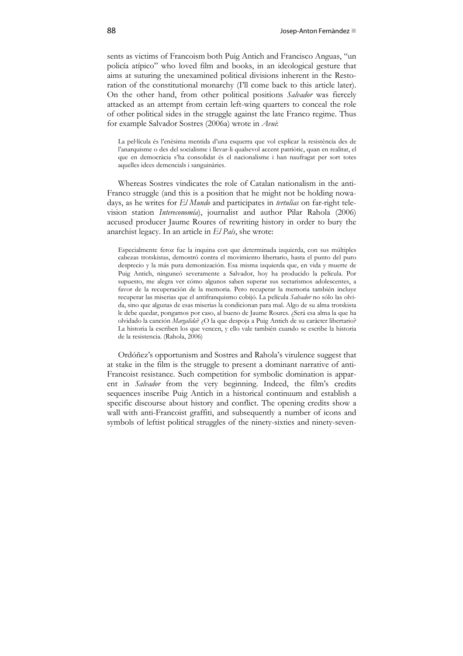sents as victims of Francoism both Puig Antich and Francisco Anguas, "un policía atípico" who loved film and books, in an ideological gesture that aims at suturing the unexamined political divisions inherent in the Restoration of the constitutional monarchy (I'll come back to this article later). On the other hand, from other political positions *Salvador* was fiercely attacked as an attempt from certain left-wing quarters to conceal the role of other political sides in the struggle against the late Franco regime. Thus for example Salvador Sostres (2006a) wrote in *Avui*:

La pel∙lícula és l'enèsima mentida d'una esquerra que vol explicar la resistència des de l'anarquisme o des del socialisme i llevar-li qualsevol accent patriòtic, quan en realitat, el que en democràcia s'ha consolidat és el nacionalisme i han naufragat per sort totes aquelles idees demencials i sanguinàries.

Whereas Sostres vindicates the role of Catalan nationalism in the anti-Franco struggle (and this is a position that he might not be holding nowadays, as he writes for *El Mundo* and participates in *tertulias* on far-right television station *Intereconomía*), journalist and author Pilar Rahola (2006) accused producer Jaume Roures of rewriting history in order to bury the anarchist legacy. In an article in *El País*, she wrote:

Especialmente feroz fue la inquina con que determinada izquierda, con sus múltiples cabezas trotskistas, demostró contra el movimiento libertario, hasta el punto del puro desprecio y la más pura demonización. Esa misma izquierda que, en vida y muerte de Puig Antich, ninguneó severamente a Salvador, hoy ha producido la película. Por supuesto, me alegra ver cómo algunos saben superar sus sectarismos adolescentes, a favor de la recuperación de la memoria. Pero recuperar la memoria también incluye recuperar las miserias que el antifranquismo cobijó. La película *Salvador* no sólo las olvida, sino que algunas de esas miserias la condicionan para mal. Algo de su alma trotskista le debe quedar, pongamos por caso, al bueno de Jaume Roures. ¿Será esa alma la que ha olvidado la canción *Margalida*? ¿O la que despoja a Puig Antich de su carácter libertario? La historia la escriben los que vencen, y ello vale también cuando se escribe la historia de la resistencia. (Rahola, 2006)

Ordóñez's opportunism and Sostres and Rahola's virulence suggest that at stake in the film is the struggle to present a dominant narrative of anti-Francoist resistance. Such competition for symbolic domination is apparent in *Salvador* from the very beginning. Indeed, the film's credits sequences inscribe Puig Antich in a historical continuum and establish a specific discourse about history and conflict. The opening credits show a wall with anti-Francoist graffiti, and subsequently a number of icons and symbols of leftist political struggles of the ninety-sixties and ninety-seven-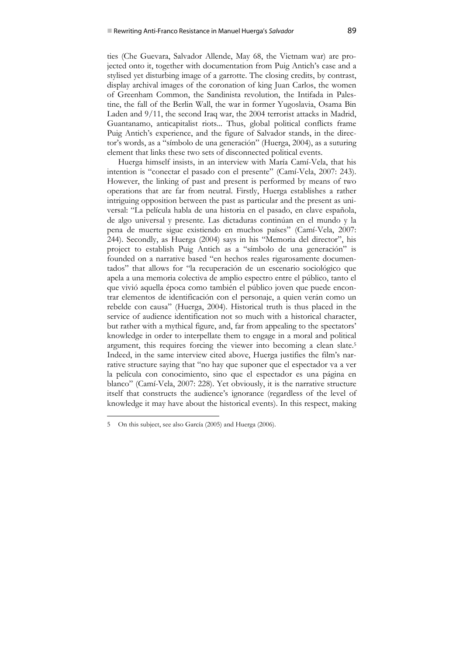ties (Che Guevara, Salvador Allende, May 68, the Vietnam war) are projected onto it, together with documentation from Puig Antich's case and a stylised yet disturbing image of a garrotte. The closing credits, by contrast, display archival images of the coronation of king Juan Carlos, the women of Greenham Common, the Sandinista revolution, the Intifada in Palestine, the fall of the Berlin Wall, the war in former Yugoslavia, Osama Bin Laden and 9/11, the second Iraq war, the 2004 terrorist attacks in Madrid, Guantanamo, anticapitalist riots... Thus, global political conflicts frame Puig Antich's experience, and the figure of Salvador stands, in the director's words, as a "símbolo de una generación" (Huerga, 2004), as a suturing element that links these two sets of disconnected political events.

Huerga himself insists, in an interview with María Camí-Vela, that his intention is "conectar el pasado con el presente" (Camí-Vela, 2007: 243). However, the linking of past and present is performed by means of two operations that are far from neutral. Firstly, Huerga establishes a rather intriguing opposition between the past as particular and the present as universal: "La película habla de una historia en el pasado, en clave española, de algo universal y presente. Las dictaduras continúan en el mundo y la pena de muerte sigue existiendo en muchos países" (Camí-Vela, 2007: 244). Secondly, as Huerga (2004) says in his "Memoria del director", his project to establish Puig Antich as a "símbolo de una generación" is founded on a narrative based "en hechos reales rigurosamente documentados" that allows for "la recuperación de un escenario sociológico que apela a una memoria colectiva de amplio espectro entre el público, tanto el que vivió aquella época como también el público joven que puede encontrar elementos de identificación con el personaje, a quien verán como un rebelde con causa" (Huerga, 2004). Historical truth is thus placed in the service of audience identification not so much with a historical character, but rather with a mythical figure, and, far from appealing to the spectators' knowledge in order to interpellate them to engage in a moral and political argument, this requires forcing the viewer into becoming a clean slate.5 Indeed, in the same interview cited above, Huerga justifies the film's narrative structure saying that "no hay que suponer que el espectador va a ver la película con conocimiento, sino que el espectador es una página en blanco" (Camí-Vela, 2007: 228). Yet obviously, it is the narrative structure itself that constructs the audience's ignorance (regardless of the level of knowledge it may have about the historical events). In this respect, making

 $\ddot{\phantom{a}}$ 

<sup>5</sup> On this subject, see also García (2005) and Huerga (2006).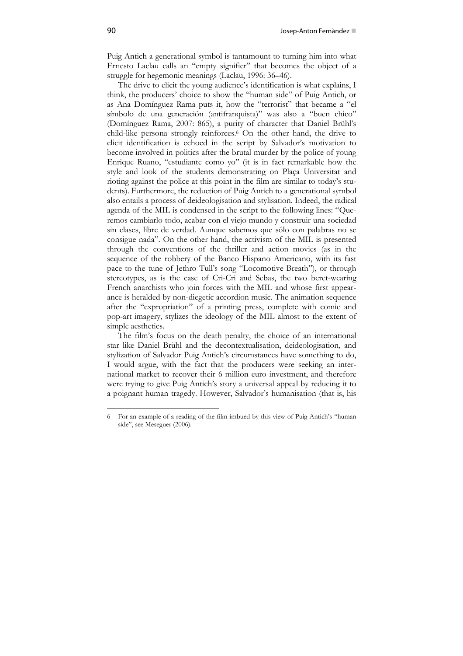Puig Antich a generational symbol is tantamount to turning him into what Ernesto Laclau calls an "empty signifier" that becomes the object of a struggle for hegemonic meanings (Laclau, 1996: 36–46).

The drive to elicit the young audience's identification is what explains, I think, the producers' choice to show the "human side" of Puig Antich, or as Ana Domínguez Rama puts it, how the "terrorist" that became a "el símbolo de una generación (antifranquista)" was also a "buen chico" (Domínguez Rama, 2007: 865), a purity of character that Daniel Brühl's child-like persona strongly reinforces.<sup>6</sup> On the other hand, the drive to elicit identification is echoed in the script by Salvador's motivation to become involved in politics after the brutal murder by the police of young Enrique Ruano, "estudiante como yo" (it is in fact remarkable how the style and look of the students demonstrating on Plaça Universitat and rioting against the police at this point in the film are similar to today's students). Furthermore, the reduction of Puig Antich to a generational symbol also entails a process of deideologisation and stylisation. Indeed, the radical agenda of the MIL is condensed in the script to the following lines: "Queremos cambiarlo todo, acabar con el viejo mundo y construir una sociedad sin clases, libre de verdad. Aunque sabemos que sólo con palabras no se consigue nada". On the other hand, the activism of the MIL is presented through the conventions of the thriller and action movies (as in the sequence of the robbery of the Banco Hispano Americano, with its fast pace to the tune of Jethro Tull's song "Locomotive Breath"), or through stereotypes, as is the case of Cri-Cri and Sebas, the two beret-wearing French anarchists who join forces with the MIL and whose first appearance is heralded by non-diegetic accordion music. The animation sequence after the "expropriation" of a printing press, complete with comic and pop-art imagery, stylizes the ideology of the MIL almost to the extent of simple aesthetics.

The film's focus on the death penalty, the choice of an international star like Daniel Brühl and the decontextualisation, deideologisation, and stylization of Salvador Puig Antich's circumstances have something to do, I would argue, with the fact that the producers were seeking an international market to recover their 6 million euro investment, and therefore were trying to give Puig Antich's story a universal appeal by reducing it to a poignant human tragedy. However, Salvador's humanisation (that is, his

1

<sup>6</sup> For an example of a reading of the film imbued by this view of Puig Antich's "human side", see Meseguer (2006).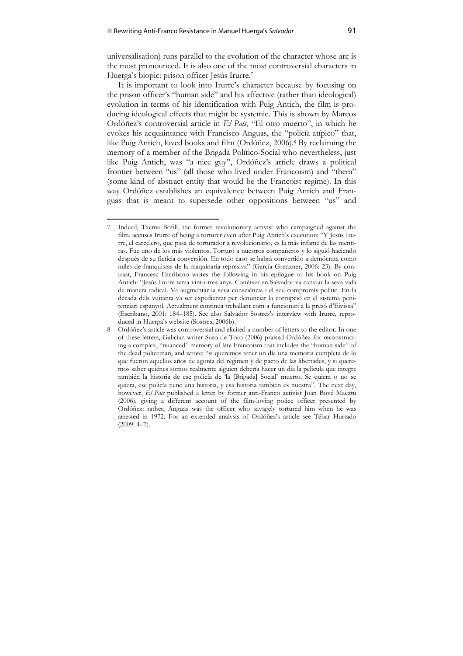1

universalisation) runs parallel to the evolution of the character whose arc is the most pronounced. It is also one of the most controversial characters in Huerga's biopic: prison officer Jesús Irurre.7

It is important to look into Irurre's character because by focusing on the prison officer's "human side" and his affective (rather than ideological) evolution in terms of his identification with Puig Antich, the film is producing ideological effects that might be systemic. This is shown by Marcos Ordóñez's controversial article in *El País*, "El otro muerto", in which he evokes his acquaintance with Francisco Anguas, the "policía atípico" that, like Puig Antich, loved books and film (Ordóñez, 2006).8 By reclaiming the memory of a member of the Brigada Político-Social who nevertheless, just like Puig Antich, was "a nice guy", Ordóñez's article draws a political frontier between "us" (all those who lived under Francoism) and "them" (some kind of abstract entity that would be the Francoist regime). In this way Ordóñez establishes an equivalence between Puig Antich and Franguas that is meant to supersede other oppositions between "us" and

<sup>7</sup> Indeed, Txema Bofill, the former revolutionary activist who campaigned against the film, accuses Irurre of being a torturer even after Puig Antich's execution: "Y Jesús Irurre, el carcelero, que pasa de torturador a revolucionario, es la más infame de las mentiras. Fue uno de los más violentos. Torturó a nuestros compañeros y lo siguió haciendo después de su ficticia conversión. En todo caso se habrá convertido a demócrata como miles de franquistas de la maquinaria represiva" (García Grenzner, 2006: 23). By contrast, Francesc Escribano writes the following in his epilogue to his book on Puig Antich: "Jesús Irurre tenia vint-i-tres anys. Conèixer en Salvador va canviar la seva vida de manera radical. Va augmentar la seva consciència i el seu compromís polític. En la dècada dels vuitanta va ser expedientat per denunciar la corrupció en el sistema penitenciari espanyol. Actualment continua treballant com a funcionari a la presó d'Eivissa" (Escribano, 2001: 184–185). See also Salvador Sostres's interview with Irurre, reproduced in Huerga's website (Sostres, 2006b).

<sup>8</sup> Ordóñez's article was controversial and elicited a number of letters to the editor. In one of these letters, Galician writer Suso de Toro (2006) praised Ordóñez for reconstructing a complex, "nuanced" memory of late Francoism that includes the "human side" of the dead policeman, and wrote: "si queremos tener un día una memoria completa de lo que fueron aquellos años de agonía del régimen y de pacto de las libertades, y si queremos saber quiénes somos realmente alguien debería hacer un día la película que integre también la historia de ese policía de 'la [Brigada] Social' muerto. Se quiera o no se quiera, ese policía tiene una historia, y esa historia también es nuestra". The next day, however, *El País* published a letter by former anti-Franco activist Joan Bové Maeztu (2006), giving a different account of the film-loving police officer presented by Ordóñez: rather, Anguas was the officer who savagely tortured him when he was arrested in 1972. For an extended analysis of Ordóñez's article see Tébar Hurtado  $(2009: 4–7)$ .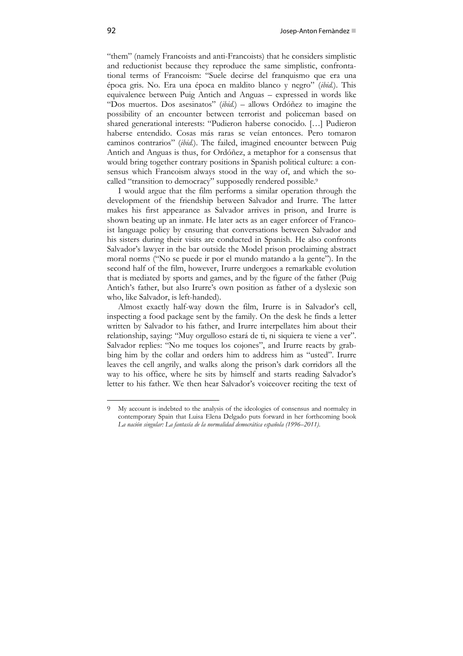"them" (namely Francoists and anti-Francoists) that he considers simplistic and reductionist because they reproduce the same simplistic, confrontational terms of Francoism: "Suele decirse del franquismo que era una época gris. No. Era una época en maldito blanco y negro" (*ibid.*). This equivalence between Puig Antich and Anguas – expressed in words like "Dos muertos. Dos asesinatos" (*ibid.*) – allows Ordóñez to imagine the possibility of an encounter between terrorist and policeman based on shared generational interests: "Pudieron haberse conocido. […] Pudieron haberse entendido. Cosas más raras se veían entonces. Pero tomaron caminos contrarios" (*ibid.*). The failed, imagined encounter between Puig Antich and Anguas is thus, for Ordóñez, a metaphor for a consensus that would bring together contrary positions in Spanish political culture: a consensus which Francoism always stood in the way of, and which the socalled "transition to democracy" supposedly rendered possible.<sup>9</sup>

I would argue that the film performs a similar operation through the development of the friendship between Salvador and Irurre. The latter makes his first appearance as Salvador arrives in prison, and Irurre is shown beating up an inmate. He later acts as an eager enforcer of Francoist language policy by ensuring that conversations between Salvador and his sisters during their visits are conducted in Spanish. He also confronts Salvador's lawyer in the bar outside the Model prison proclaiming abstract moral norms ("No se puede ir por el mundo matando a la gente"). In the second half of the film, however, Irurre undergoes a remarkable evolution that is mediated by sports and games, and by the figure of the father (Puig Antich's father, but also Irurre's own position as father of a dyslexic son who, like Salvador, is left-handed).

Almost exactly half-way down the film, Irurre is in Salvador's cell, inspecting a food package sent by the family. On the desk he finds a letter written by Salvador to his father, and Irurre interpellates him about their relationship, saying: "Muy orgulloso estará de ti, ni siquiera te viene a ver". Salvador replies: "No me toques los cojones", and Irurre reacts by grabbing him by the collar and orders him to address him as "usted". Irurre leaves the cell angrily, and walks along the prison's dark corridors all the way to his office, where he sits by himself and starts reading Salvador's letter to his father. We then hear Salvador's voiceover reciting the text of

 $\ddot{\phantom{a}}$ 

<sup>9</sup> My account is indebted to the analysis of the ideologies of consensus and normalcy in contemporary Spain that Luisa Elena Delgado puts forward in her forthcoming book *La nación singular: La fantasía de la normalidad democrática española (1996–2011)*.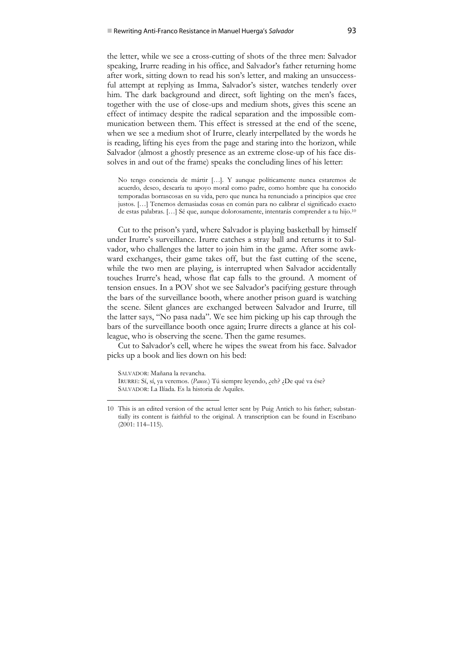the letter, while we see a cross-cutting of shots of the three men: Salvador speaking, Irurre reading in his office, and Salvador's father returning home after work, sitting down to read his son's letter, and making an unsuccessful attempt at replying as Imma, Salvador's sister, watches tenderly over him. The dark background and direct, soft lighting on the men's faces, together with the use of close-ups and medium shots, gives this scene an effect of intimacy despite the radical separation and the impossible communication between them. This effect is stressed at the end of the scene, when we see a medium shot of Irurre, clearly interpellated by the words he is reading, lifting his eyes from the page and staring into the horizon, while Salvador (almost a ghostly presence as an extreme close-up of his face dissolves in and out of the frame) speaks the concluding lines of his letter:

No tengo conciencia de mártir […]. Y aunque políticamente nunca estaremos de acuerdo, deseo, desearía tu apoyo moral como padre, como hombre que ha conocido temporadas borrascosas en su vida, pero que nunca ha renunciado a principios que cree justos. […] Tenemos demasiadas cosas en común para no calibrar el significado exacto de estas palabras. […] Sé que, aunque dolorosamente, intentarás comprender a tu hijo.10

Cut to the prison's yard, where Salvador is playing basketball by himself under Irurre's surveillance. Irurre catches a stray ball and returns it to Salvador, who challenges the latter to join him in the game. After some awkward exchanges, their game takes off, but the fast cutting of the scene, while the two men are playing, is interrupted when Salvador accidentally touches Irurre's head, whose flat cap falls to the ground. A moment of tension ensues. In a POV shot we see Salvador's pacifying gesture through the bars of the surveillance booth, where another prison guard is watching the scene. Silent glances are exchanged between Salvador and Irurre, till the latter says, "No pasa nada". We see him picking up his cap through the bars of the surveillance booth once again; Irurre directs a glance at his colleague, who is observing the scene. Then the game resumes.

Cut to Salvador's cell, where he wipes the sweat from his face. Salvador picks up a book and lies down on his bed:

SALVADOR: Mañana la revancha.

 $\ddot{\phantom{a}}$ 

IRURRE: Sí, sí, ya veremos. (*Pause.*) Tú siempre leyendo, ¿eh? ¿De qué va ése? SALVADOR: La Ilíada. Es la historia de Aquiles.

<sup>10</sup> This is an edited version of the actual letter sent by Puig Antich to his father; substantially its content is faithful to the original. A transcription can be found in Escribano (2001: 114–115).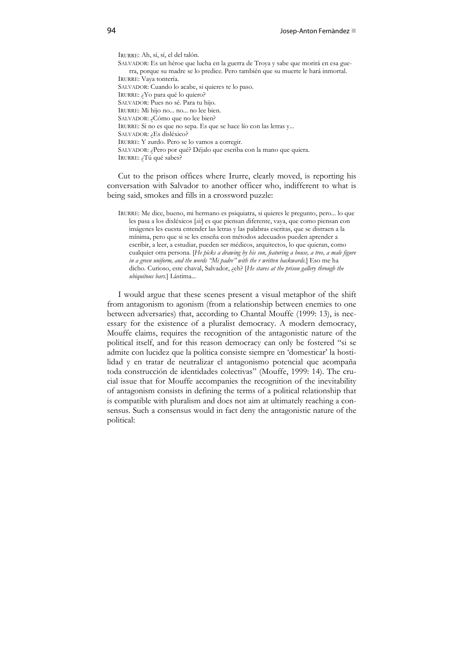IRURRE: Ah, sí, sí, el del talón. SALVADOR: Es un héroe que lucha en la guerra de Troya y sabe que morirá en esa guerra, porque su madre se lo predice. Pero también que su muerte le hará inmortal. IRURRE: Vaya tontería. SALVADOR: Cuando lo acabe, si quieres te lo paso. IRURRE: ¿Yo para qué lo quiero? SALVADOR: Pues no sé. Para tu hijo. IRURRE: Mi hijo no... no... no lee bien. SALVADOR: ¿Cómo que no lee bien? IRURRE: Si no es que no sepa. Es que se hace lío con las letras y... SALVADOR: ¿Es disléxico? IRURRE: Y zurdo. Pero se lo vamos a corregir. SALVADOR: ¿Pero por qué? Déjalo que escriba con la mano que quiera. IRURRE: ¿Tú qué sabes?

Cut to the prison offices where Irurre, clearly moved, is reporting his conversation with Salvador to another officer who, indifferent to what is being said, smokes and fills in a crossword puzzle:

IRURRE: Me dice, bueno, mi hermano es psiquiatra, si quieres le pregunto, pero... lo que les pasa a los dixléxicos [*sic*] es que piensan diferente, vaya, que como piensan con imágenes les cuesta entender las letras y las palabras escritas, que se distraen a la mínima, pero que si se les enseña con métodos adecuados pueden aprender a escribir, a leer, a estudiar, pueden ser médicos, arquitectos, lo que quieran, como cualquier otra persona. [*He picks a drawing by his son, featuring a house, a tree, a male figure in a green uniform, and the words "Mi padre" with the r written backwards.*] Eso me ha dicho. Curioso, este chaval, Salvador, ¿eh? [*He stares at the prison gallery through the ubiquitous bars.*] Lástima...

I would argue that these scenes present a visual metaphor of the shift from antagonism to agonism (from a relationship between enemies to one between adversaries) that, according to Chantal Mouffe (1999: 13), is necessary for the existence of a pluralist democracy. A modern democracy, Mouffe claims, requires the recognition of the antagonistic nature of the political itself, and for this reason democracy can only be fostered "si se admite con lucidez que la política consiste siempre en 'domesticar' la hostilidad y en tratar de neutralizar el antagonismo potencial que acompaña toda construcción de identidades colectivas" (Mouffe, 1999: 14). The crucial issue that for Mouffe accompanies the recognition of the inevitability of antagonism consists in defining the terms of a political relationship that is compatible with pluralism and does not aim at ultimately reaching a consensus. Such a consensus would in fact deny the antagonistic nature of the political: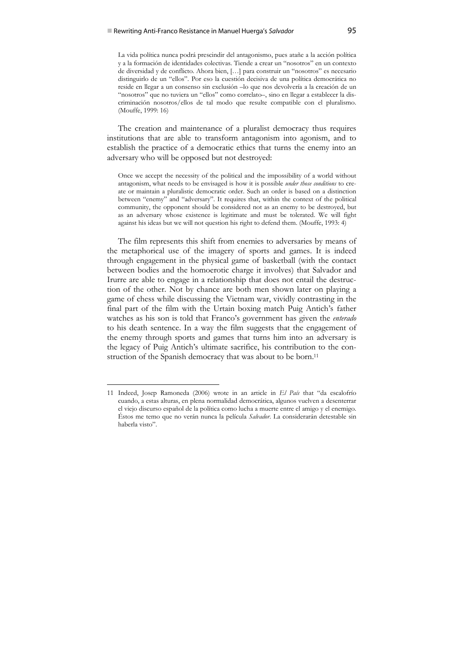La vida política nunca podrá prescindir del antagonismo, pues atañe a la acción política y a la formación de identidades colectivas. Tiende a crear un "nosotros" en un contexto de diversidad y de conflicto. Ahora bien, […] para construir un "nosotros" es necesario distinguirlo de un "ellos". Por eso la cuestión decisiva de una política democrática no reside en llegar a un consenso sin exclusión –lo que nos devolvería a la creación de un "nosotros" que no tuviera un "ellos" como correlato–, sino en llegar a establecer la discriminación nosotros/ellos de tal modo que resulte compatible con el pluralismo. (Mouffe, 1999: 16)

The creation and maintenance of a pluralist democracy thus requires institutions that are able to transform antagonism into agonism, and to establish the practice of a democratic ethics that turns the enemy into an adversary who will be opposed but not destroyed:

Once we accept the necessity of the political and the impossibility of a world without antagonism, what needs to be envisaged is how it is possible *under those conditions* to create or maintain a pluralistic democratic order. Such an order is based on a distinction between "enemy" and "adversary". It requires that, within the context of the political community, the opponent should be considered not as an enemy to be destroyed, but as an adversary whose existence is legitimate and must be tolerated. We will fight against his ideas but we will not question his right to defend them. (Mouffe, 1993: 4)

The film represents this shift from enemies to adversaries by means of the metaphorical use of the imagery of sports and games. It is indeed through engagement in the physical game of basketball (with the contact between bodies and the homoerotic charge it involves) that Salvador and Irurre are able to engage in a relationship that does not entail the destruction of the other. Not by chance are both men shown later on playing a game of chess while discussing the Vietnam war, vividly contrasting in the final part of the film with the Urtain boxing match Puig Antich's father watches as his son is told that Franco's government has given the *enterado* to his death sentence. In a way the film suggests that the engagement of the enemy through sports and games that turns him into an adversary is the legacy of Puig Antich's ultimate sacrifice, his contribution to the construction of the Spanish democracy that was about to be born.<sup>11</sup>

1

<sup>11</sup> Indeed, Josep Ramoneda (2006) wrote in an article in *El País* that "da escalofrío cuando, a estas alturas, en plena normalidad democrática, algunos vuelven a desenterrar el viejo discurso español de la política como lucha a muerte entre el amigo y el enemigo. Éstos me temo que no verán nunca la película *Salvador*. La considerarán detestable sin haberla visto".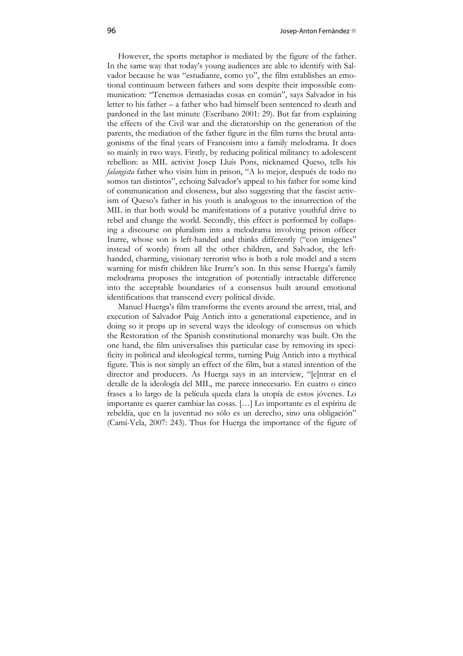However, the sports metaphor is mediated by the figure of the father. In the same way that today's young audiences are able to identify with Salvador because he was "estudiante, como yo", the film establishes an emotional continuum between fathers and sons despite their impossible communication: "Tenemos demasiadas cosas en común", says Salvador in his letter to his father – a father who had himself been sentenced to death and pardoned in the last minute (Escribano 2001: 29). But far from explaining the effects of the Civil war and the dictatorship on the generation of the parents, the mediation of the father figure in the film turns the brutal antagonisms of the final years of Francoism into a family melodrama. It does so mainly in two ways. Firstly, by reducing political militancy to adolescent rebellion: as MIL activist Josep Lluís Pons, nicknamed Queso, tells his *falangista* father who visits him in prison, "A lo mejor, después de todo no somos tan distintos", echoing Salvador's appeal to his father for some kind of communication and closeness, but also suggesting that the fascist activism of Queso's father in his youth is analogous to the insurrection of the MIL in that both would be manifestations of a putative youthful drive to rebel and change the world. Secondly, this effect is performed by collapsing a discourse on pluralism into a melodrama involving prison officer Irurre, whose son is left-handed and thinks differently ("con imágenes" instead of words) from all the other children, and Salvador, the lefthanded, charming, visionary terrorist who is both a role model and a stern warning for misfit children like Irurre's son. In this sense Huerga's family melodrama proposes the integration of potentially intractable difference into the acceptable boundaries of a consensus built around emotional identifications that transcend every political divide.

Manuel Huerga's film transforms the events around the arrest, trial, and execution of Salvador Puig Antich into a generational experience, and in doing so it props up in several ways the ideology of consensus on which the Restoration of the Spanish constitutional monarchy was built. On the one hand, the film universalises this particular case by removing its specificity in political and ideological terms, turning Puig Antich into a mythical figure. This is not simply an effect of the film, but a stated intention of the director and producers. As Huerga says in an interview, "[e]ntrar en el detalle de la ideología del MIL, me parece innecesario. En cuatro o cinco frases a lo largo de la película queda clara la utopía de estos jóvenes. Lo importante es querer cambiar las cosas. […] Lo importante es el espíritu de rebeldía, que en la juventud no sólo es un derecho, sino una obligación" (Camí-Vela, 2007: 243). Thus for Huerga the importance of the figure of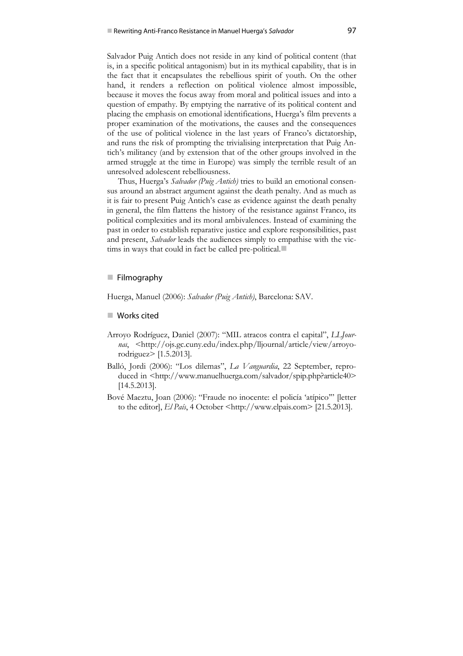Salvador Puig Antich does not reside in any kind of political content (that is, in a specific political antagonism) but in its mythical capability, that is in the fact that it encapsulates the rebellious spirit of youth. On the other hand, it renders a reflection on political violence almost impossible, because it moves the focus away from moral and political issues and into a question of empathy. By emptying the narrative of its political content and placing the emphasis on emotional identifications, Huerga's film prevents a proper examination of the motivations, the causes and the consequences of the use of political violence in the last years of Franco's dictatorship, and runs the risk of prompting the trivialising interpretation that Puig Antich's militancy (and by extension that of the other groups involved in the armed struggle at the time in Europe) was simply the terrible result of an unresolved adolescent rebelliousness.

Thus, Huerga's *Salvador (Puig Antich)* tries to build an emotional consensus around an abstract argument against the death penalty. And as much as it is fair to present Puig Antich's case as evidence against the death penalty in general, the film flattens the history of the resistance against Franco, its political complexities and its moral ambivalences. Instead of examining the past in order to establish reparative justice and explore responsibilities, past and present, *Salvador* leads the audiences simply to empathise with the victims in ways that could in fact be called pre-political.

## **Filmography**

Huerga, Manuel (2006): *Salvador (Puig Antich)*, Barcelona: SAV.

## ■ Works cited

- Arroyo Rodríguez, Daniel (2007): "MIL atracos contra el capital", *LLJournal*, <http://ojs.gc.cuny.edu/index.php/lljournal/article/view/arroyorodriguez> [1.5.2013].
- Balló, Jordi (2006): "Los dilemas", *La Vanguardia*, 22 September, reproduced in <http://www.manuelhuerga.com/salvador/spip.php?article40> [14.5.2013].
- Bové Maeztu, Joan (2006): "Fraude no inocente: el policía 'atípico'" [letter to the editor], *El País*, 4 October <http://www.elpais.com> [21.5.2013].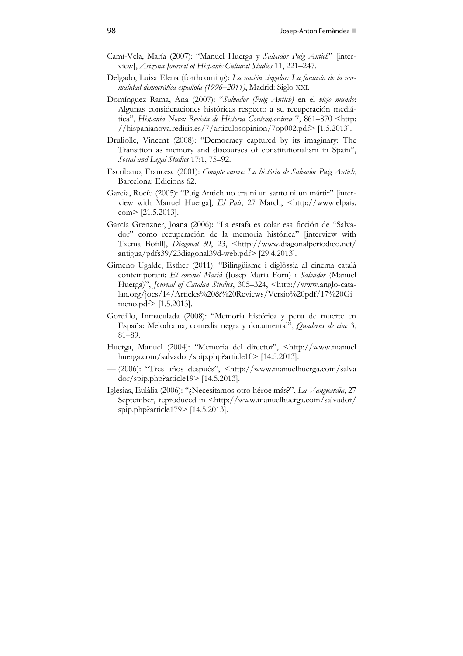- Camí-Vela, María (2007): "Manuel Huerga y *Salvador Puig Antich*" [interview], *Arizona Journal of Hispanic Cultural Studies* 11, 221–247.
- Delgado, Luisa Elena (forthcoming): *La nación singular: La fantasía de la normalidad democrática española (1996–2011)*, Madrid: Siglo XXI.
- Domínguez Rama, Ana (2007): "*Salvador (Puig Antich)* en el *viejo mundo*: Algunas consideraciones históricas respecto a su recuperación mediática", *Hispania Nova: Revista de Historia Contemporánea* 7, 861-870 <http: //hispanianova.rediris.es/7/articulosopinion/7op002.pdf> [1.5.2013].
- Druliolle, Vincent (2008): "Democracy captured by its imaginary: The Transition as memory and discourses of constitutionalism in Spain", *Social and Legal Studies* 17:1, 75–92.
- Escribano, Francesc (2001): *Compte enrere: La història de Salvador Puig Antich*, Barcelona: Edicions 62.
- García, Rocío (2005): "Puig Antich no era ni un santo ni un mártir" [interview with Manuel Huerga], *El País*, 27 March, <http://www.elpais. com> [21.5.2013].
- García Grenzner, Joana (2006): "La estafa es colar esa ficción de "Salvador" como recuperación de la memoria histórica" [interview with Txema Bofill], *Diagonal* 39, 23, <http://www.diagonalperiodico.net/ antigua/pdfs39/23diagonal39d-web.pdf> [29.4.2013].
- Gimeno Ugalde, Esther (2011): "Bilingüisme i diglòssia al cinema català contemporani: *El coronel Macià* (Josep Maria Forn) i *Salvador* (Manuel Huerga)", *Journal of Catalan Studies*, 305–324, <http://www.anglo-catalan.org/jocs/14/Articles%20&%20Reviews/Versio%20pdf/17%20Gi meno.pdf> [1.5.2013].
- Gordillo, Inmaculada (2008): "Memoria histórica y pena de muerte en España: Melodrama, comedia negra y documental", *Quaderns de cine* 3, 81–89.
- Huerga, Manuel (2004): "Memoria del director", <http://www.manuel huerga.com/salvador/spip.php?article10> [14.5.2013].
- (2006): "Tres años después", <http://www.manuelhuerga.com/salva dor/spip.php?article19> [14.5.2013].
- Iglesias, Eulàlia (2006): "¿Necesitamos otro héroe más?", *La Vanguardia*, 27 September, reproduced in <http://www.manuelhuerga.com/salvador/ spip.php?article179> [14.5.2013].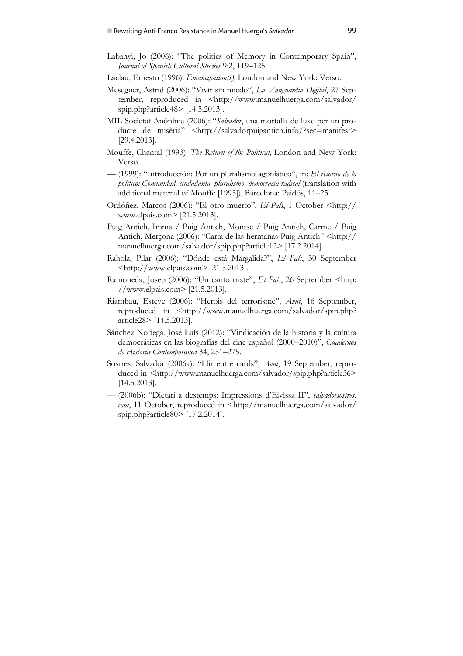- Labanyi, Jo (2006): "The politics of Memory in Contemporary Spain", *Journal of Spanish Cultural Studies* 9:2, 119–125.
- Laclau, Ernesto (1996): *Emancipation(s)*, London and New York: Verso.
- Meseguer, Astrid (2006): "Vivir sin miedo", *La Vanguardia Digital*, 27 September, reproduced in <http://www.manuelhuerga.com/salvador/ spip.php?article48> [14.5.2013].
- MIL Societat Anònima (2006): "*Salvador*, una mortalla de luxe per un producte de misèria" <http://salvadorpuigantich.info/?sec=manifest> [29.4.2013].
- Mouffe, Chantal (1993): *The Return of the Political*, London and New York: Verso.
- (1999): "Introducción: Por un pluralismo agonístico", in: *El retorno de lo político: Comunidad, ciudadanía, pluralismo, democracia radical* (translation with additional material of Mouffe [1993]), Barcelona: Paidós, 11–25.
- Ordóñez, Marcos (2006): "El otro muerto", *El País*, 1 October <http:// www.elpais.com> [21.5.2013].
- Puig Antich, Imma / Puig Antich, Montse / Puig Antich, Carme / Puig Antich, Merçona (2006): "Carta de las hermanas Puig Antich" <http:// manuelhuerga.com/salvador/spip.php?article12> [17.2.2014].
- Rahola, Pilar (2006): "Dónde está Margalida?", *El País*, 30 September <http://www.elpais.com> [21.5.2013].
- Ramoneda, Josep (2006): "Un canto triste", *El País*, 26 September <http: //www.elpais.com> [21.5.2013].
- Riambau, Esteve (2006): "Herois del terrorisme", *Avui*, 16 September, reproduced in <http://www.manuelhuerga.com/salvador/spip.php? article28> [14.5.2013].
- Sánchez Noriega, José Luís (2012): "Vindicación de la historia y la cultura democráticas en las biografías del cine español (2000–2010)", *Cuadernos de Historia Contemporánea* 34, 251–275.
- Sostres, Salvador (2006a): "Llir entre cards", *Avui*, 19 September, reproduced in <http://www.manuelhuerga.com/salvador/spip.php?article36> [14.5.2013].
- (2006b): "Dietari a destemps: Impressions d'Eivissa II", *salvadorsostres. com*, 11 October, reproduced in <http://manuelhuerga.com/salvador/ spip.php?article80> [17.2.2014].